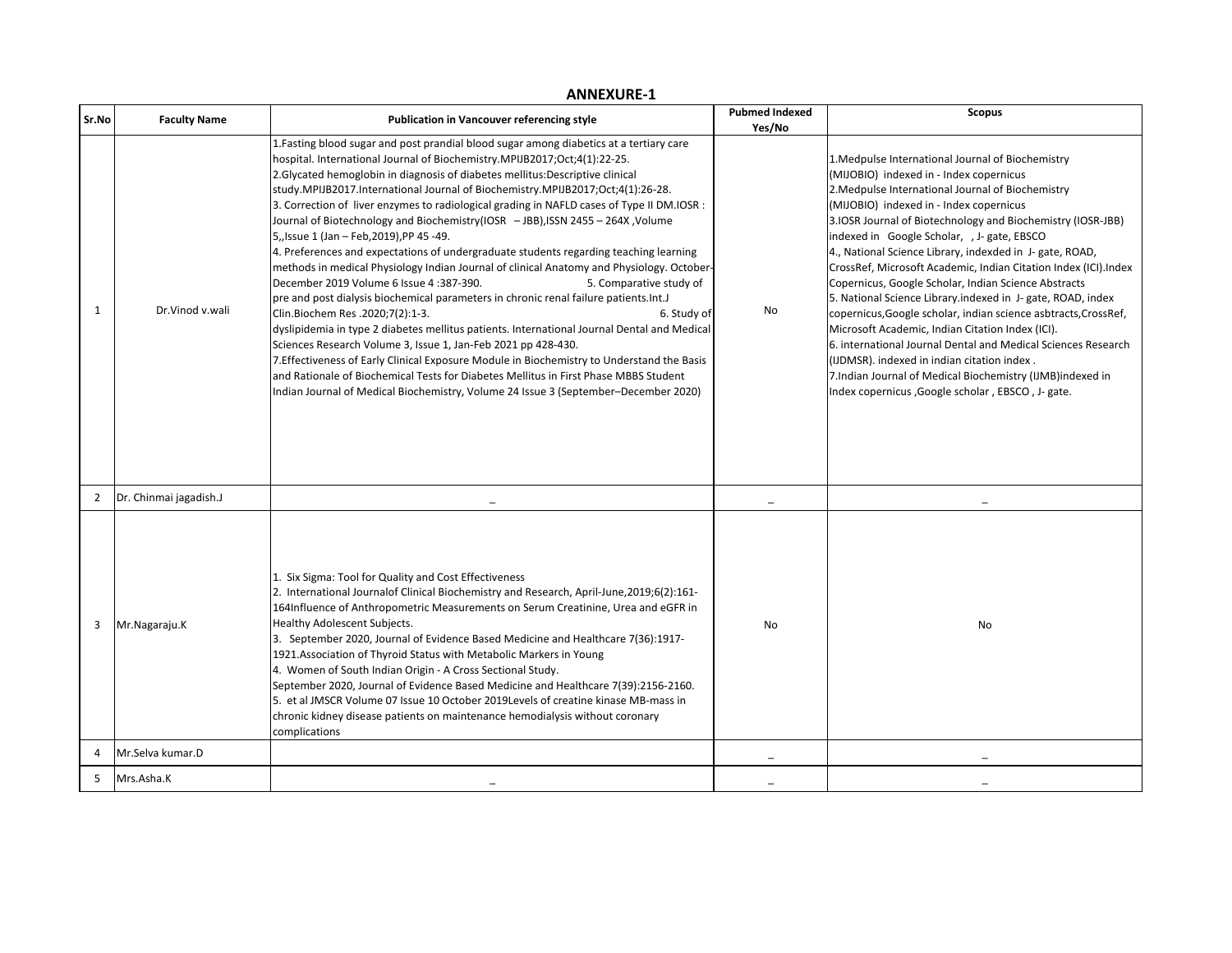| Sr.No          | <b>Faculty Name</b>    | <b>Publication in Vancouver referencing style</b>                                                                                                                                                                                                                                                                                                                                                                                                                                                                                                                                                                                                                                                                                                                                                                                                                                                                                                                                                                                                                                                                                                                                                                                                                                                                                                                                                                          | <b>Pubmed Indexed</b><br>Yes/No | <b>Scopus</b>                                                                                                                                                                                                                                                                                                                                                                                                                                                                                                                                                                                                                                                                                                                                                                                                                                                                                                               |
|----------------|------------------------|----------------------------------------------------------------------------------------------------------------------------------------------------------------------------------------------------------------------------------------------------------------------------------------------------------------------------------------------------------------------------------------------------------------------------------------------------------------------------------------------------------------------------------------------------------------------------------------------------------------------------------------------------------------------------------------------------------------------------------------------------------------------------------------------------------------------------------------------------------------------------------------------------------------------------------------------------------------------------------------------------------------------------------------------------------------------------------------------------------------------------------------------------------------------------------------------------------------------------------------------------------------------------------------------------------------------------------------------------------------------------------------------------------------------------|---------------------------------|-----------------------------------------------------------------------------------------------------------------------------------------------------------------------------------------------------------------------------------------------------------------------------------------------------------------------------------------------------------------------------------------------------------------------------------------------------------------------------------------------------------------------------------------------------------------------------------------------------------------------------------------------------------------------------------------------------------------------------------------------------------------------------------------------------------------------------------------------------------------------------------------------------------------------------|
| 1              | Dr.Vinod v.wali        | 1. Fasting blood sugar and post prandial blood sugar among diabetics at a tertiary care<br>hospital. International Journal of Biochemistry.MPIJB2017;Oct;4(1):22-25.<br>2. Glycated hemoglobin in diagnosis of diabetes mellitus: Descriptive clinical<br>study.MPIJB2017.International Journal of Biochemistry.MPIJB2017;Oct;4(1):26-28.<br>3. Correction of liver enzymes to radiological grading in NAFLD cases of Type II DM.IOSR :<br>Journal of Biotechnology and Biochemistry(IOSR - JBB), ISSN 2455 - 264X, Volume<br>5, Issue 1 (Jan - Feb, 2019), PP 45 -49.<br>4. Preferences and expectations of undergraduate students regarding teaching learning<br>methods in medical Physiology Indian Journal of clinical Anatomy and Physiology. October-<br>December 2019 Volume 6 Issue 4:387-390.<br>5. Comparative study of<br>pre and post dialysis biochemical parameters in chronic renal failure patients.Int.J<br>Clin.Biochem Res .2020;7(2):1-3.<br>6. Study of<br>dyslipidemia in type 2 diabetes mellitus patients. International Journal Dental and Medical<br>Sciences Research Volume 3, Issue 1, Jan-Feb 2021 pp 428-430.<br>7. Effectiveness of Early Clinical Exposure Module in Biochemistry to Understand the Basis<br>and Rationale of Biochemical Tests for Diabetes Mellitus in First Phase MBBS Student<br>Indian Journal of Medical Biochemistry, Volume 24 Issue 3 (September-December 2020) | No                              | 1. Medpulse International Journal of Biochemistry<br>(MIJOBIO) indexed in - Index copernicus<br>2. Medpulse International Journal of Biochemistry<br>(MIJOBIO) indexed in - Index copernicus<br>3. IOSR Journal of Biotechnology and Biochemistry (IOSR-JBB)<br>indexed in Google Scholar, , J- gate, EBSCO<br>4., National Science Library, indexded in J- gate, ROAD,<br>CrossRef, Microsoft Academic, Indian Citation Index (ICI).Index<br>Copernicus, Google Scholar, Indian Science Abstracts<br>5. National Science Library indexed in J- gate, ROAD, index<br>copernicus, Google scholar, indian science asbtracts, CrossRef,<br>Microsoft Academic, Indian Citation Index (ICI).<br>6. international Journal Dental and Medical Sciences Research<br>(IJDMSR). indexed in indian citation index.<br>7.Indian Journal of Medical Biochemistry (IJMB)indexed in<br>Index copernicus , Google scholar, EBSCO, J- gate. |
| 2              | Dr. Chinmai jagadish.J |                                                                                                                                                                                                                                                                                                                                                                                                                                                                                                                                                                                                                                                                                                                                                                                                                                                                                                                                                                                                                                                                                                                                                                                                                                                                                                                                                                                                                            | $\equiv$                        |                                                                                                                                                                                                                                                                                                                                                                                                                                                                                                                                                                                                                                                                                                                                                                                                                                                                                                                             |
| 3              | Mr.Nagaraju.K          | 1. Six Sigma: Tool for Quality and Cost Effectiveness<br>2. International Journalof Clinical Biochemistry and Research, April-June, 2019;6(2):161-<br>164Influence of Anthropometric Measurements on Serum Creatinine, Urea and eGFR in<br>Healthy Adolescent Subjects.<br>3. September 2020, Journal of Evidence Based Medicine and Healthcare 7(36):1917-<br>1921. Association of Thyroid Status with Metabolic Markers in Young<br>4. Women of South Indian Origin - A Cross Sectional Study.<br>September 2020, Journal of Evidence Based Medicine and Healthcare 7(39):2156-2160.<br>5. et al JMSCR Volume 07 Issue 10 October 2019 Levels of creatine kinase MB-mass in<br>chronic kidney disease patients on maintenance hemodialysis without coronary<br>complications                                                                                                                                                                                                                                                                                                                                                                                                                                                                                                                                                                                                                                             | No                              | No                                                                                                                                                                                                                                                                                                                                                                                                                                                                                                                                                                                                                                                                                                                                                                                                                                                                                                                          |
| $\overline{4}$ | Mr.Selva kumar.D       |                                                                                                                                                                                                                                                                                                                                                                                                                                                                                                                                                                                                                                                                                                                                                                                                                                                                                                                                                                                                                                                                                                                                                                                                                                                                                                                                                                                                                            |                                 |                                                                                                                                                                                                                                                                                                                                                                                                                                                                                                                                                                                                                                                                                                                                                                                                                                                                                                                             |
| 5              | Mrs.Asha.K             |                                                                                                                                                                                                                                                                                                                                                                                                                                                                                                                                                                                                                                                                                                                                                                                                                                                                                                                                                                                                                                                                                                                                                                                                                                                                                                                                                                                                                            |                                 |                                                                                                                                                                                                                                                                                                                                                                                                                                                                                                                                                                                                                                                                                                                                                                                                                                                                                                                             |

## **ANNEXURE-1**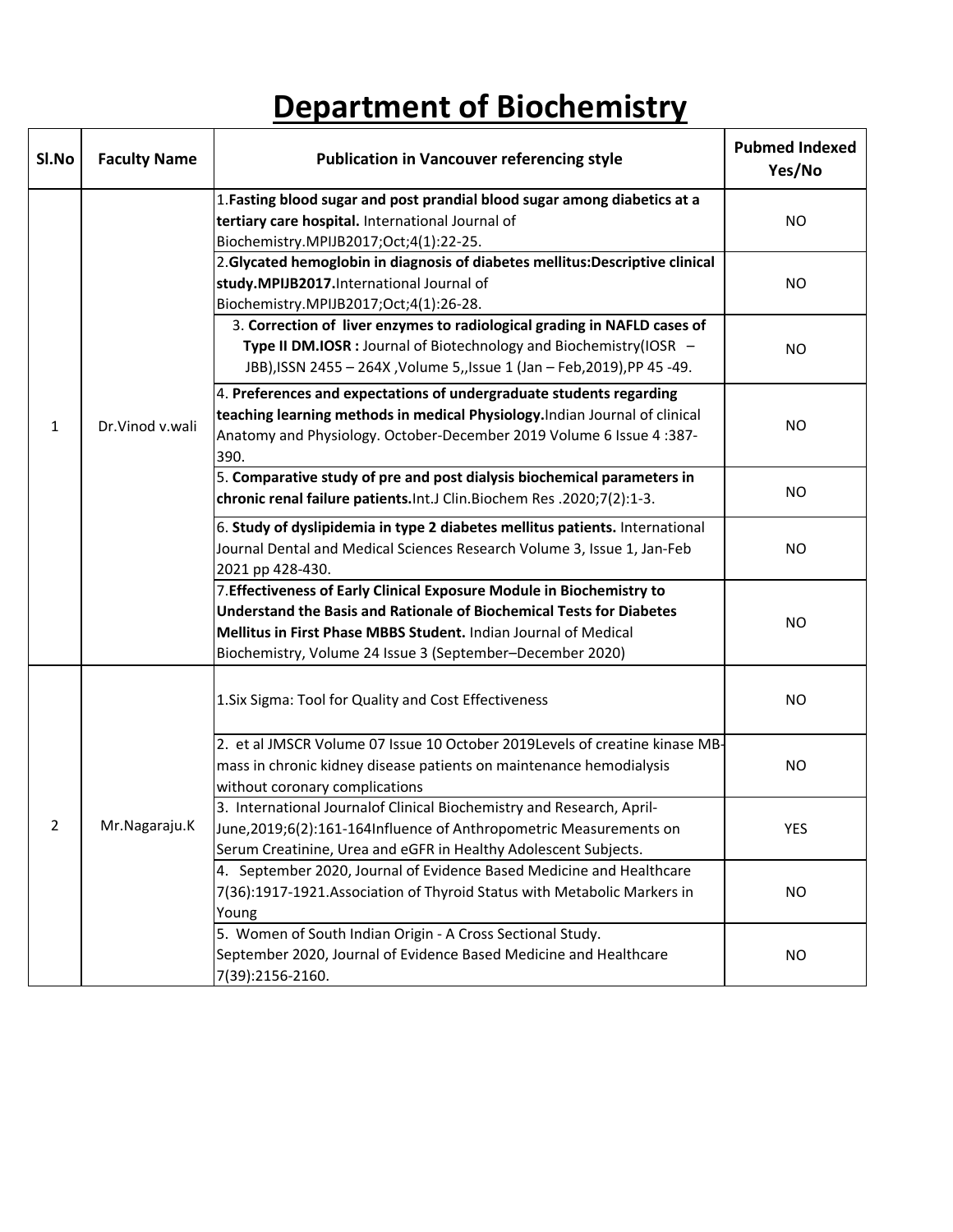## **Department of Biochemistry**

| SI.No | <b>Faculty Name</b> | <b>Publication in Vancouver referencing style</b>                                                                                                                                                                                                                             | <b>Pubmed Indexed</b><br>Yes/No |
|-------|---------------------|-------------------------------------------------------------------------------------------------------------------------------------------------------------------------------------------------------------------------------------------------------------------------------|---------------------------------|
|       |                     | 1. Fasting blood sugar and post prandial blood sugar among diabetics at a<br>tertiary care hospital. International Journal of                                                                                                                                                 | <b>NO</b>                       |
|       | Dr.Vinod v.wali     | Biochemistry.MPIJB2017;Oct;4(1):22-25.<br>2. Glycated hemoglobin in diagnosis of diabetes mellitus: Descriptive clinical<br>study.MPIJB2017.International Journal of                                                                                                          | <b>NO</b>                       |
|       |                     | Biochemistry.MPIJB2017;Oct;4(1):26-28.<br>3. Correction of liver enzymes to radiological grading in NAFLD cases of<br>Type II DM.IOSR : Journal of Biotechnology and Biochemistry(IOSR -<br>JBB), ISSN 2455 - 264X, Volume 5, Issue 1 (Jan - Feb, 2019), PP 45 -49.           | NO.                             |
| 1     |                     | 4. Preferences and expectations of undergraduate students regarding<br>teaching learning methods in medical Physiology. Indian Journal of clinical<br>Anatomy and Physiology. October-December 2019 Volume 6 Issue 4:387-<br>390.                                             | NO.                             |
|       |                     | 5. Comparative study of pre and post dialysis biochemical parameters in<br>chronic renal failure patients. Int. J Clin. Biochem Res. 2020;7(2):1-3.                                                                                                                           | <b>NO</b>                       |
|       |                     | 6. Study of dyslipidemia in type 2 diabetes mellitus patients. International<br>Journal Dental and Medical Sciences Research Volume 3, Issue 1, Jan-Feb<br>2021 pp 428-430.                                                                                                   | NO.                             |
|       |                     | 7. Effectiveness of Early Clinical Exposure Module in Biochemistry to<br>Understand the Basis and Rationale of Biochemical Tests for Diabetes<br>Mellitus in First Phase MBBS Student. Indian Journal of Medical<br>Biochemistry, Volume 24 Issue 3 (September-December 2020) | NO.                             |
|       |                     | 1. Six Sigma: Tool for Quality and Cost Effectiveness                                                                                                                                                                                                                         | <b>NO</b>                       |
|       |                     | 2. et al JMSCR Volume 07 Issue 10 October 2019Levels of creatine kinase MB-<br>mass in chronic kidney disease patients on maintenance hemodialysis<br>without coronary complications                                                                                          | <b>NO</b>                       |
| 2     | Mr.Nagaraju.K       | 3. International Journalof Clinical Biochemistry and Research, April-<br>June, 2019;6(2):161-164Influence of Anthropometric Measurements on<br>Serum Creatinine, Urea and eGFR in Healthy Adolescent Subjects.                                                                | <b>YES</b>                      |
|       |                     | 4. September 2020, Journal of Evidence Based Medicine and Healthcare<br>7(36):1917-1921. Association of Thyroid Status with Metabolic Markers in<br>Young                                                                                                                     | <b>NO</b>                       |
|       |                     | 5. Women of South Indian Origin - A Cross Sectional Study.<br>September 2020, Journal of Evidence Based Medicine and Healthcare<br>7(39):2156-2160.                                                                                                                           | <b>NO</b>                       |